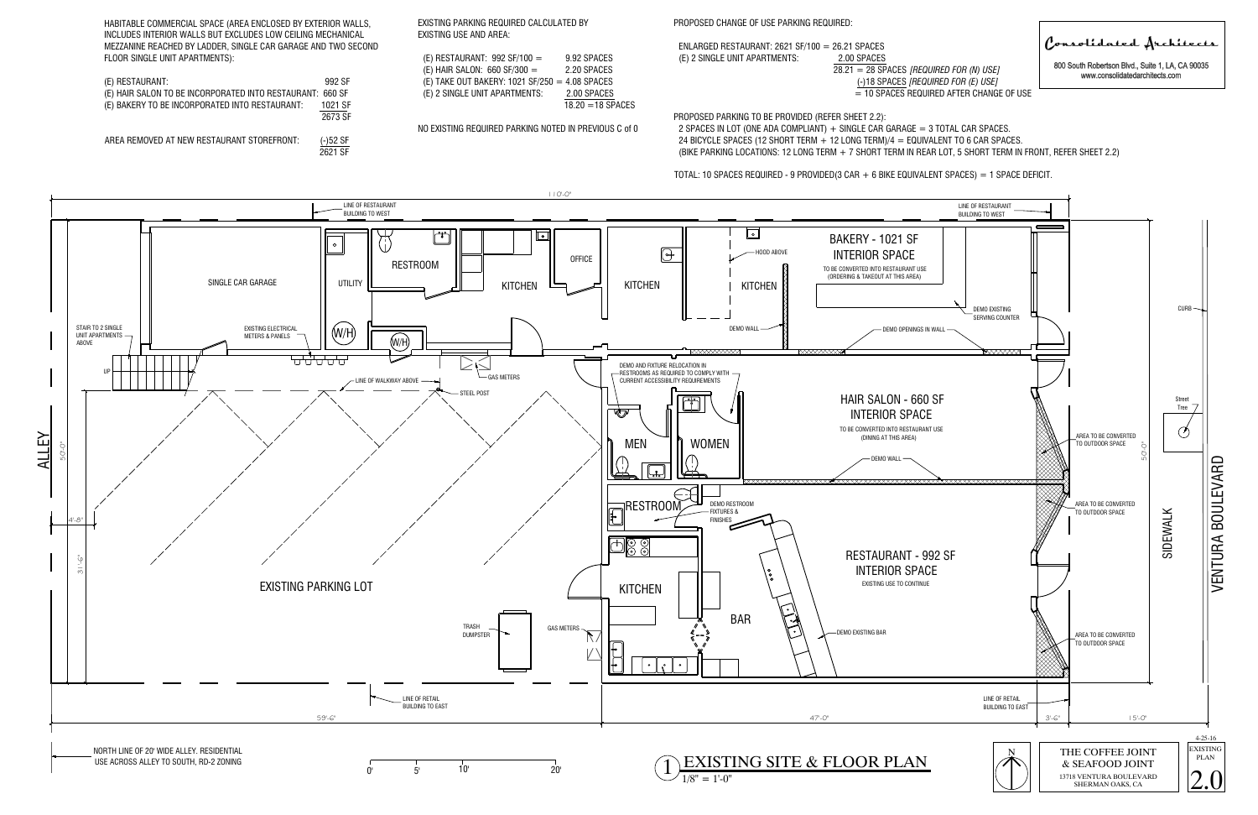(-)18 SPACES *[REQUIRED FOR (E) USE]*UIRED AFTER CHANGE OF USE 800 South Robertson Blvd., Suite 1, LA, CA 90035 www.consolidatedarchitects.com

| $ENLARGED RESTAURANT: 2621 SF/100 = 26.21 SPACES$ |                                                   |
|---------------------------------------------------|---------------------------------------------------|
| (E) 2 SINGLE UNIT APARTMENTS:                     | 2.00 SPACES                                       |
|                                                   | $28.21 = 28$ SPACES <i>[REQUIRED FOR (N) USE]</i> |
|                                                   | (-)18 SPACES <i>[REQUIRED FOR (E) USE]</i>        |
|                                                   | $=$ 10 SPACES REQUIRED AFTER CHANGE               |
|                                                   |                                                   |

PROPOSED PARKING TO BE PROVIDED (REFER SHEET 2.2): 2 SPACES IN LOT (ONE ADA COMPLIANT)  $+$  SINGLE CAR GARAGE = 3 TOTAL CAR SPACES. 24 BICYCLE SPACES (12 SHORT TERM  $+$  12 LONG TERM)/4 = EQUIVALENT TO 6 CAR SPACES. (BIKE PARKING LOCATIONS: 12 LONG TERM + 7 SHORT TERM IN REAR LOT, 5 SHORT TERM IN FRONT, REFER SHEET 2.2)

TOTAL: 10 SPACES REQUIRED - 9 PROVIDED(3 CAR + 6 BIKE EQUIVALENT SPACES) = 1 SPACE DEFICIT.

.<br>HABITABLE COMMERCIAL SPACE (AREA ENCLOSED BY EXTERIOR WALLS,<br>INCLUDES INTERIOR WALLS BUT EXCLUDES LOW CEILING MECHANICAL INCLUDES INTERIOR WALLS BUT EXCLUDES LOW CEILING MECHANICAL<br>MEZZANINE REACHED BY LADDER, SINGLE CAR GARAGE AND TWO SECOND MEZZANINE REACHED BY LADDER, {<br>FLOOR SINGLE UNIT APARTMENTS): (E) RESTAURANT: 992 SF HABITABLE COMMERCIAL SPACE (AREA ENCLOSED BY EXTERIOR WALLS,<br>
INCLUDES INTERIOR WALLS BUT EXCLUDES LOW CEILING MECHANICAL<br>
MEZZANINE REACHED BY LADDER, SINGLE CAR GARAGE AND TWO SECOND<br>
FLOOR SINGLE UNIT APARTMENTS):<br>
(E)

| (E) RESTAURANT:                                           | 992 SF  |
|-----------------------------------------------------------|---------|
| (E) HAIR SALON TO BE INCORPORATED INTO RESTAURANT: 660 SF |         |
| (E) BAKERY TO BE INCORPORATED INTO RESTAURANT:            | 1021 SF |
|                                                           | 2673 SF |
|                                                           |         |

| E) RESTAURANT: $992$ SF/100 =                 | 9.92 SPACES       |
|-----------------------------------------------|-------------------|
| E) HAIR SALON: $660$ SF/300 =                 | 2.20 SPACES       |
| E) TAKE OUT BAKERY: 1021 SF/250 = 4.08 SPACES |                   |
| E) 2 SINGLE UNIT APARTMENTS:                  | 2.00 SPACES       |
|                                               | $18.20 - 18.8$ D. |

# PROPOSED CHANGE OF USE PARKING REQUIRED:



Consolidated Architects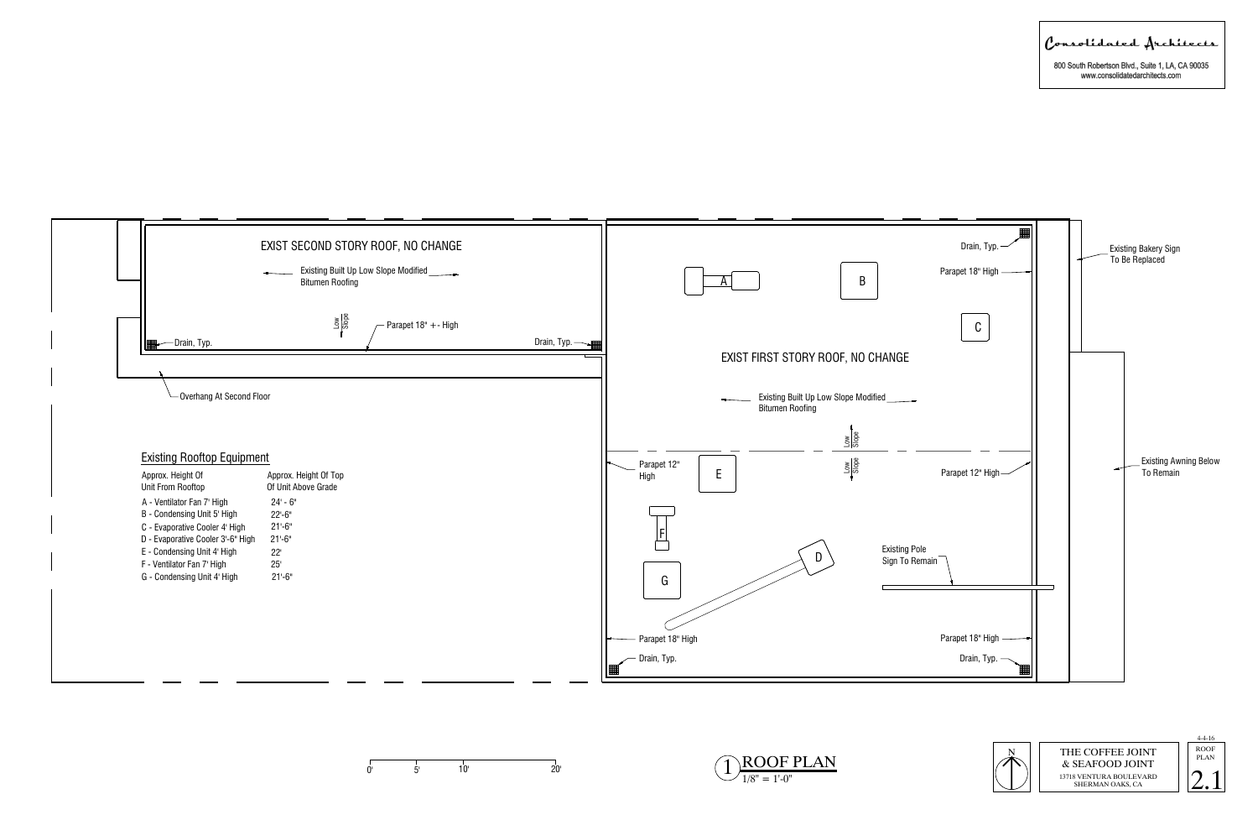





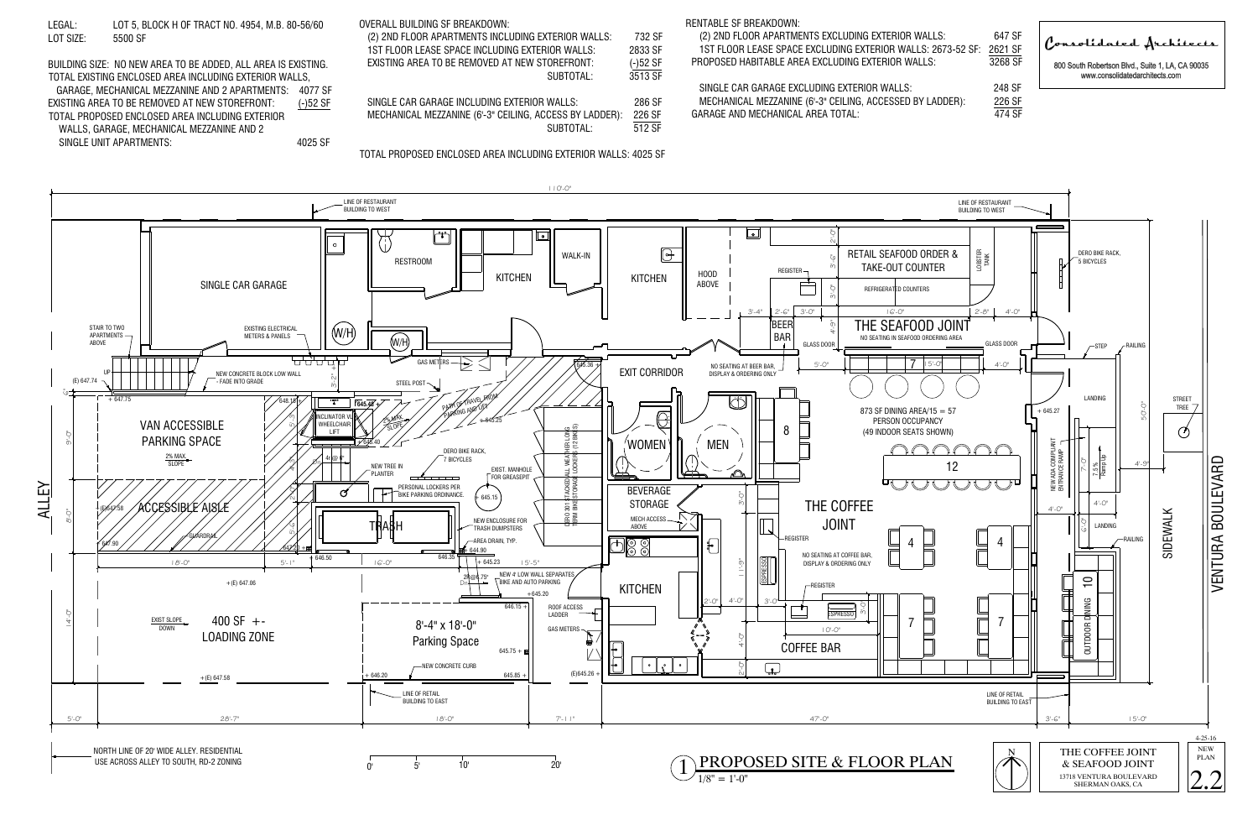

- 
- 
- 





Consolidated Architects

800 South Robertson Blvd., Suite 1, LA, CA 90035 www.consolidatedarchitects.com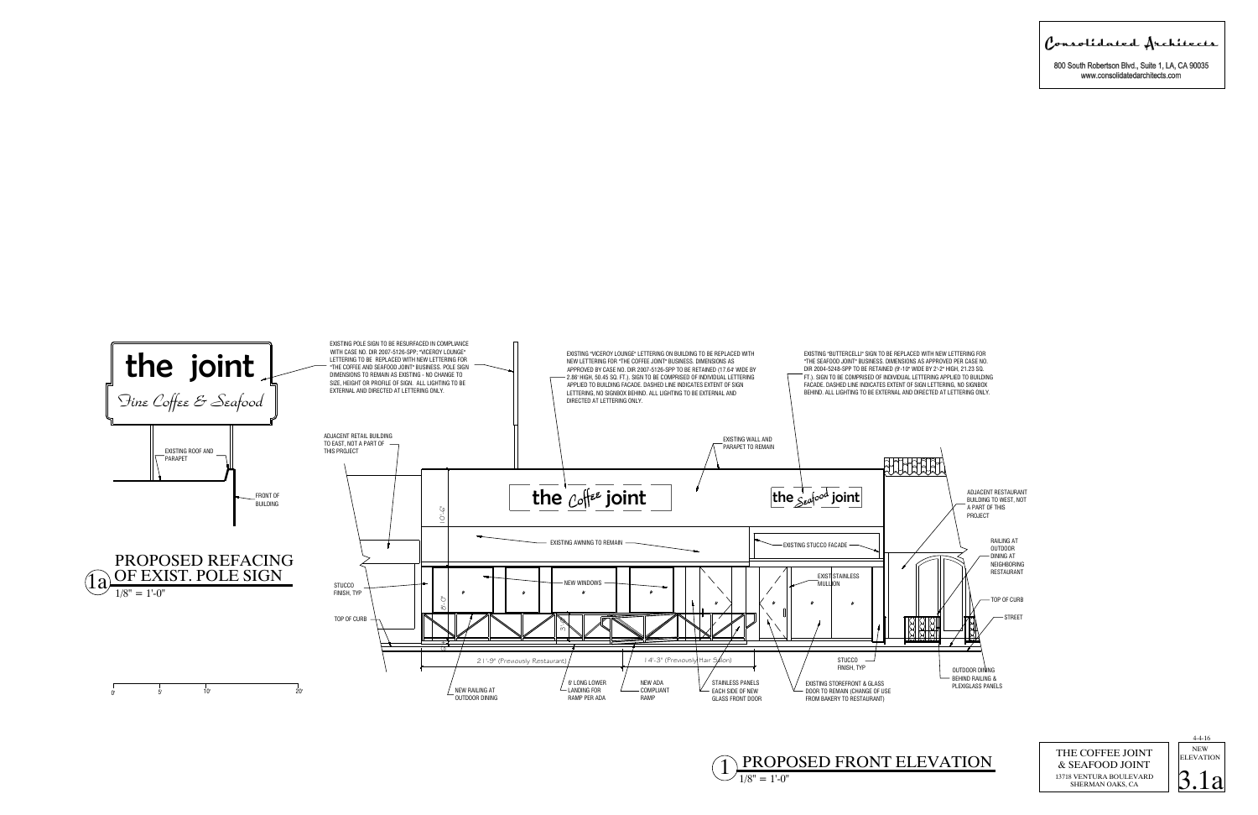





800 South Robertson Blvd., Suite 1, LA, CA 90035 www.consolidatedarchitects.com

Consolidated Architects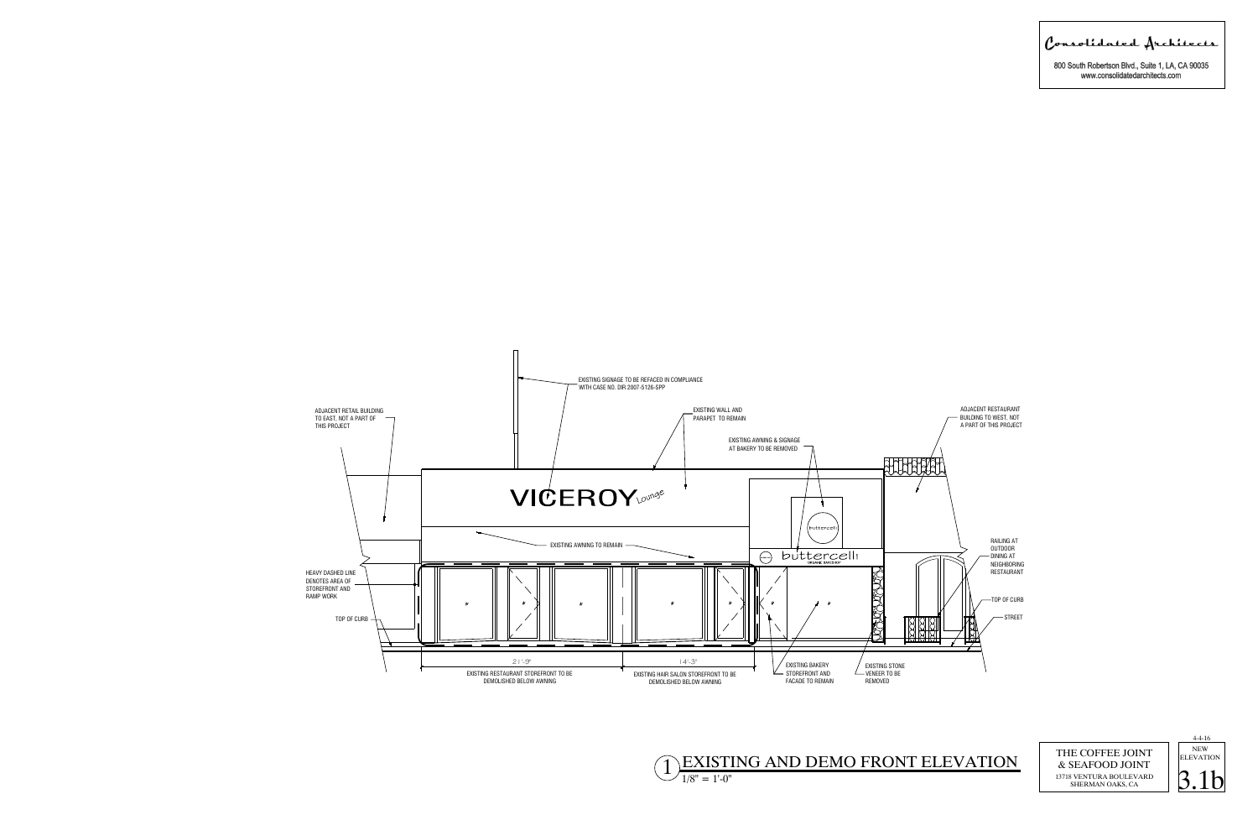

Consolidated Architects

800 South Robertson Blvd., Suite 1, LA, CA 90035 www.consolidatedarchitects.com